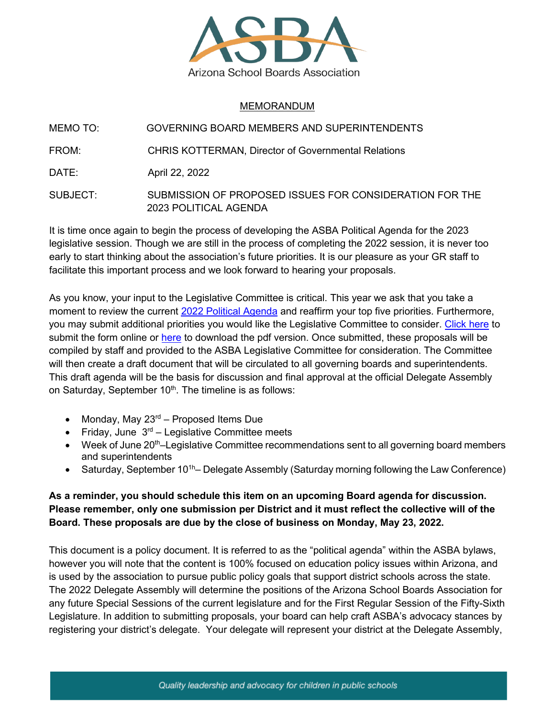

## MEMORANDUM

MEMO TO: GOVERNING BOARD MEMBERS AND SUPERINTENDENTS

FROM: CHRIS KOTTERMAN, Director of Governmental Relations

DATE: **April 22, 2022** 

SUBJECT: SUBMISSION OF PROPOSED ISSUES FOR CONSIDERATION FOR THE 2023 POLITICAL AGENDA

It is time once again to begin the process of developing the ASBA Political Agenda for the 2023 legislative session. Though we are still in the process of completing the 2022 session, it is never too early to start thinking about the association's future priorities. It is our pleasure as your GR staff to facilitate this important process and we look forward to hearing your proposals.

As you know, your input to the Legislative Committee is critical. This year we ask that you take a moment to review the current 2022 [Political Agenda](https://azsba.org/wp-content/uploads/2021/11/2022PoliticalAgenda.pdf) and reaffirm your top five priorities. Furthermore, you may submit additional priorities you would like the Legislative Committee to consider. [Click here](https://azsba.org/issues-for-legislative-committee-consideration/) to submit the form online or [here](https://azsba.org/wp-content/uploads/2022/04/2022-Submission-Form.pdf) to download the pdf version. Once submitted, these proposals will be compiled by staff and provided to the ASBA Legislative Committee for consideration. The Committee will then create a draft document that will be circulated to all governing boards and superintendents. This draft agenda will be the basis for discussion and final approval at the official Delegate Assembly on Saturday, September 10<sup>th</sup>. The timeline is as follows:

- Monday, May  $23<sup>rd</sup>$  Proposed Items Due
- Friday, June  $3^{rd}$  Legislative Committee meets
- Week of June  $20<sup>th</sup>$ -Legislative Committee recommendations sent to all governing board members and superintendents
- Saturday, September 10<sup>1h</sup>– Delegate Assembly (Saturday morning following the Law Conference)

## **As a reminder, you should schedule this item on an upcoming Board agenda for discussion. Please remember, only one submission per District and it must reflect the collective will of the Board. These proposals are due by the close of business on Monday, May 23, 2022.**

This document is a policy document. It is referred to as the "political agenda" within the ASBA bylaws, however you will note that the content is 100% focused on education policy issues within Arizona, and is used by the association to pursue public policy goals that support district schools across the state. The 2022 Delegate Assembly will determine the positions of the Arizona School Boards Association for any future Special Sessions of the current legislature and for the First Regular Session of the Fifty-Sixth Legislature. In addition to submitting proposals, your board can help craft ASBA's advocacy stances by registering your district's delegate. Your delegate will represent your district at the Delegate Assembly,